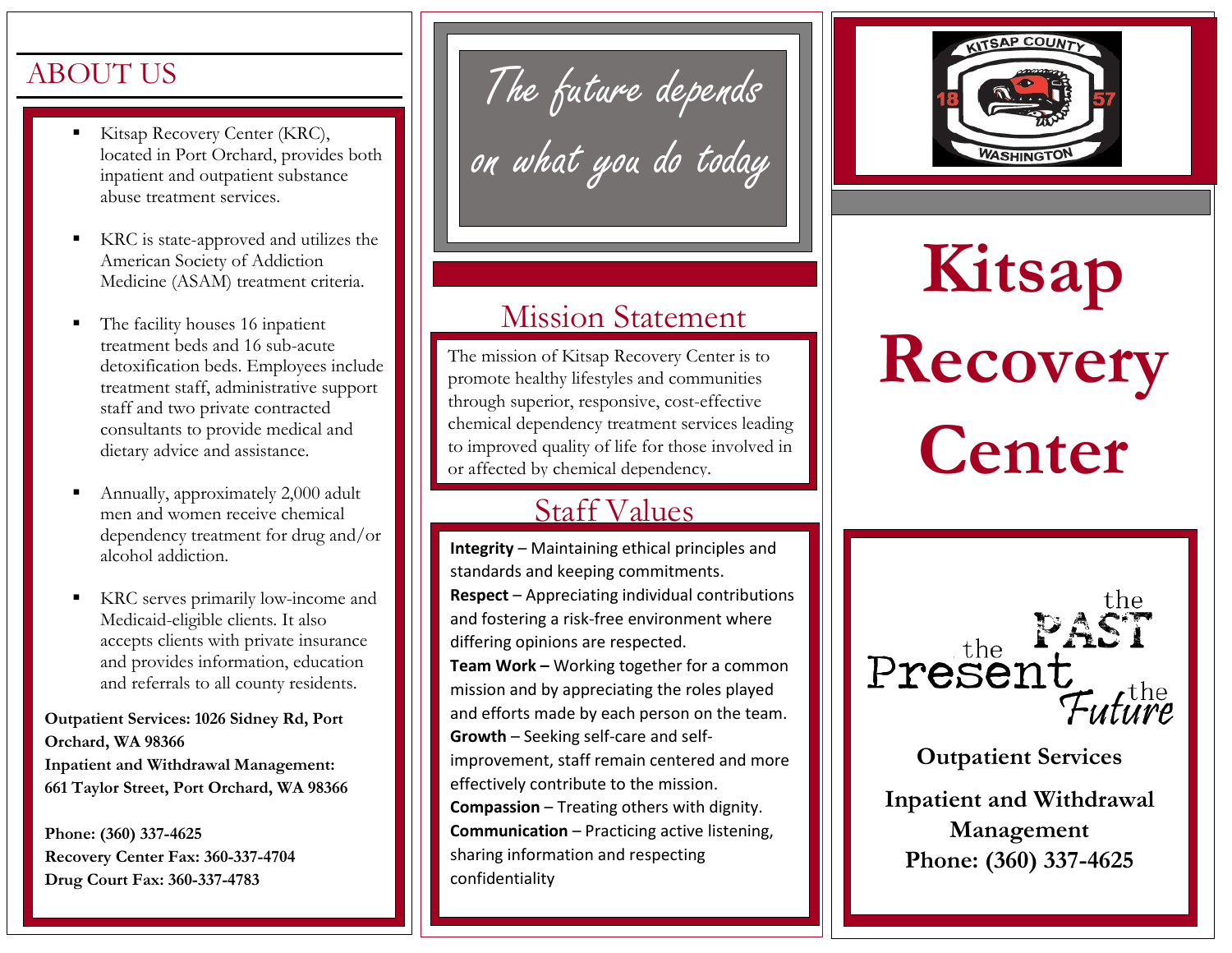#### ABOUT US

- Kitsap Recovery Center (KRC), located in Port Orchard, provides both inpatient and outpatient substance abuse treatment services.
- KRC is state-approved and utilizes the American Society of Addiction Medicine (ASAM) treatment criteria.
- The facility houses 16 inpatient treatment beds and 16 sub-acute detoxification beds. Employees include treatment staff, administrative support staff and two private contracted consultants to provide medical and dietary advice and assistance.
- Annually, approximately 2,000 adult men and women receive chemical dependency treatment for drug and/or alcohol addiction.
- KRC serves primarily low-income and Medicaid-eligible clients. It also accepts clients with private insurance and provides information, education and referrals to all county residents.

**Outpatient Services: 1026 Sidney Rd, Port Orchard, WA 98366 Inpatient and Withdrawal Management: 661 Taylor Street, Port Orchard, WA 98366**

**Phone: (360) 337-4625 Recovery Center Fax: 360-337-4704 Drug Court Fax: 360-337-4783**

The future depends on what you do today

#### Mission Statement

The mission of Kitsap Recovery Center is to promote healthy lifestyles and communities through superior, responsive, cost-effective chemical dependency treatment services leading to improved quality of life for those involved in or affected by chemical dependency.

#### Staff Values

**Integrity** – Maintaining ethical principles and standards and keeping commitments. **Respect** – Appreciating individual contributions and fostering a risk-free environment where differing opinions are respected. **Team Work –** Working together for a common mission and by appreciating the roles played and efforts made by each person on the team. **Growth** – Seeking self-care and selfimprovement, staff remain centered and more effectively contribute to the mission. **Compassion** – Treating others with dignity. **Communication** – Practicing active listening, sharing information and respecting confidentiality



**Kitsap Recovery Center**



**Outpatient Services**

**Inpatient and Withdrawal Management Phone: (360) 337-4625**